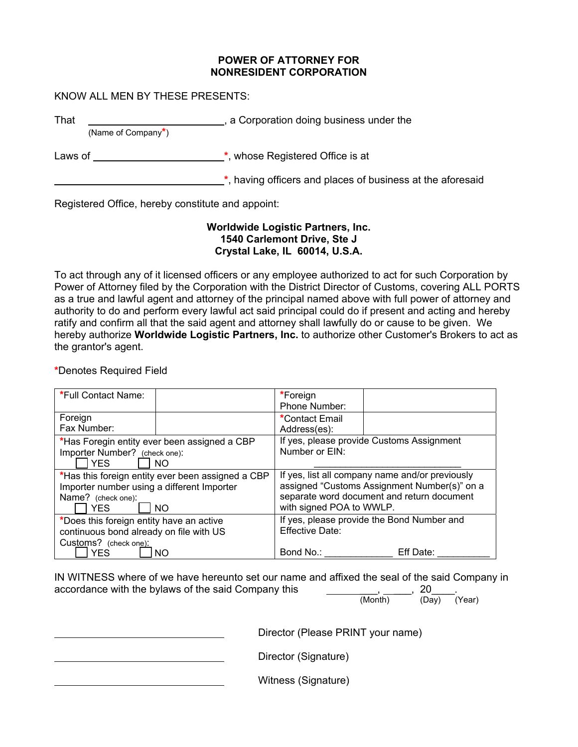#### **POWER OF ATTORNEY FOR NONRESIDENT CORPORATION**

### KNOW ALL MEN BY THESE PRESENTS:

That **That Example 2** a Corporation doing business under the (Name of Company**\***)

Laws of <u>example and the set of  $\ddot{\hspace{1cm}}$ </u>, whose Registered Office is at

**\***, having officers and places of business at the aforesaid

Registered Office, hereby constitute and appoint:

### **Worldwide Logistic Partners, Inc. 1540 Carlemont Drive, Ste J Crystal Lake, IL 60014, U.S.A.**

To act through any of it licensed officers or any employee authorized to act for such Corporation by Power of Attorney filed by the Corporation with the District Director of Customs, covering ALL PORTS as a true and lawful agent and attorney of the principal named above with full power of attorney and authority to do and perform every lawful act said principal could do if present and acting and hereby ratify and confirm all that the said agent and attorney shall lawfully do or cause to be given. We hereby authorize **Worldwide Logistic Partners, Inc.** to authorize other Customer's Brokers to act as the grantor's agent.

## **\***Denotes Required Field

| *Full Contact Name:                               | *Foreign                                        |
|---------------------------------------------------|-------------------------------------------------|
|                                                   | Phone Number:                                   |
| Foreign                                           | *Contact Email                                  |
| Fax Number:                                       | Address(es):                                    |
| *Has Foregin entity ever been assigned a CBP      | If yes, please provide Customs Assignment       |
| Importer Number? (check one):                     | Number or EIN:                                  |
| <b>YES</b><br>NΟ                                  |                                                 |
| *Has this foreign entity ever been assigned a CBP | If yes, list all company name and/or previously |
| Importer number using a different Importer        | assigned "Customs Assignment Number(s)" on a    |
| Name? (check one):                                | separate word document and return document      |
| <b>YES</b><br><b>NO</b>                           | with signed POA to WWLP.                        |
| *Does this foreign entity have an active          | If yes, please provide the Bond Number and      |
| continuous bond already on file with US           | Effective Date:                                 |
| Customs? (check one):                             |                                                 |
| <b>YES</b><br><b>NO</b>                           | Bond No.:<br>Eff Date:                          |

IN WITNESS where of we have hereunto set our name and affixed the seal of the said Company in accordance with the bylaws of the said Company this  $\frac{1}{\text{Month}}$ , 20<sub>\_\_</sub>, 20<sub>\_\_</sub>, (Year)

Director (Please PRINT your name)

Director (Signature)

Witness (Signature)